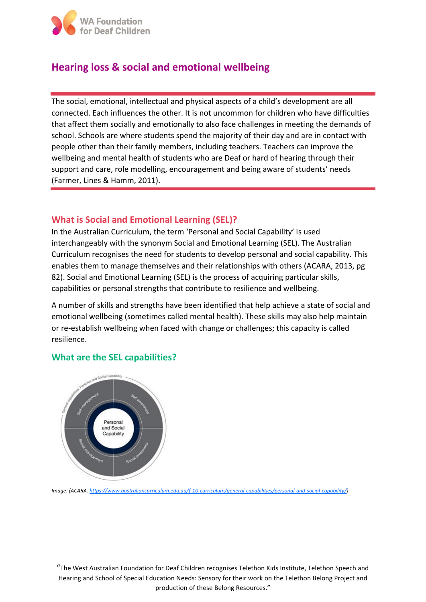

# **Hearing loss & social and emotional wellbeing**

The social, emotional, intellectual and physical aspects of a child's development are all connected. Each influences the other. It is not uncommon for children who have difficulties that affect them socially and emotionally to also face challenges in meeting the demands of school. Schools are where students spend the majority of their day and are in contact with people other than their family members, including teachers. Teachers can improve the wellbeing and mental health of students who are Deaf or hard of hearing through their support and care, role modelling, encouragement and being aware of students' needs (Farmer, Lines & Hamm, 2011).

## **What is Social and Emotional Learning (SEL)?**

In the Australian Curriculum, the term 'Personal and Social Capability' is used interchangeably with the synonym Social and Emotional Learning (SEL). The Australian Curriculum recognises the need for students to develop personal and social capability. This enables them to manage themselves and their relationships with others (ACARA, 2013, pg 82). Social and Emotional Learning (SEL) is the process of acquiring particular skills, capabilities or personal strengths that contribute to resilience and wellbeing.

A number of skills and strengths have been identified that help achieve a state of social and emotional wellbeing (sometimes called mental health). These skills may also help maintain or re-establish wellbeing when faced with change or challenges; this capacity is called resilience.

## **What are the SEL capabilities?**



*Image: (ACARA[, https://www.australiancurriculum.edu.au/f-10-curriculum/general-capabilities/personal-and-social-capability/\)](https://www.australiancurriculum.edu.au/f-10-curriculum/general-capabilities/personal-and-social-capability/)*

"The West Australian Foundation for Deaf Children recognises Telethon Kids Institute, Telethon Speech and Hearing and School of Special Education Needs: Sensory for their work on the Telethon Belong Project and production of these Belong Resources."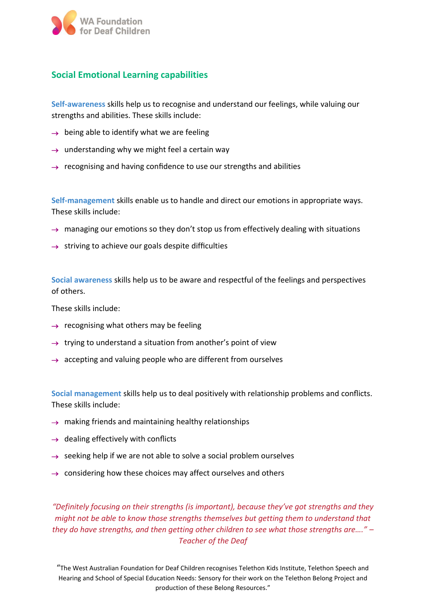

## **Social Emotional Learning capabilities**

**Self-awareness** skills help us to recognise and understand our feelings, while valuing our strengths and abilities. These skills include:

- $\rightarrow$  being able to identify what we are feeling
- $\rightarrow$  understanding why we might feel a certain way
- $\rightarrow$  recognising and having confidence to use our strengths and abilities

**Self-management** skills enable us to handle and direct our emotions in appropriate ways. These skills include:

- $\rightarrow$  managing our emotions so they don't stop us from effectively dealing with situations
- $\rightarrow$  striving to achieve our goals despite difficulties

**Social awareness** skills help us to be aware and respectful of the feelings and perspectives of others.

These skills include:

- $\rightarrow$  recognising what others may be feeling
- $\rightarrow$  trying to understand a situation from another's point of view
- $\rightarrow$  accepting and valuing people who are different from ourselves

**Social management** skills help us to deal positively with relationship problems and conflicts. These skills include:

- $\rightarrow$  making friends and maintaining healthy relationships
- $\rightarrow$  dealing effectively with conflicts
- $\rightarrow$  seeking help if we are not able to solve a social problem ourselves
- $\rightarrow$  considering how these choices may affect ourselves and others

*"Definitely focusing on their strengths (is important), because they've got strengths and they might not be able to know those strengths themselves but getting them to understand that they do have strengths, and then getting other children to see what those strengths are…." – Teacher of the Deaf*

"The West Australian Foundation for Deaf Children recognises Telethon Kids Institute, Telethon Speech and Hearing and School of Special Education Needs: Sensory for their work on the Telethon Belong Project and production of these Belong Resources."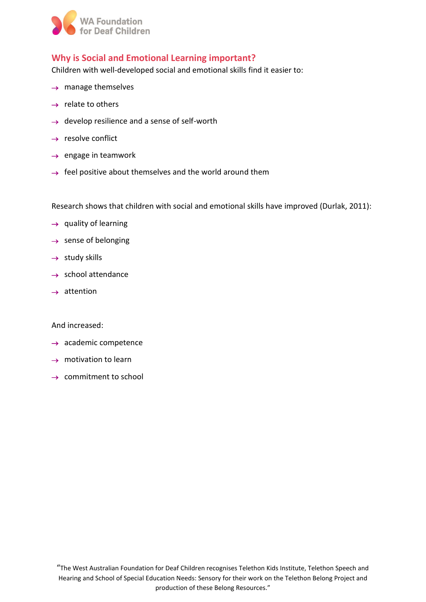

## **Why is Social and Emotional Learning important?**

Children with well-developed social and emotional skills find it easier to:

- $\rightarrow$  manage themselves
- $\rightarrow$  relate to others
- $\rightarrow$  develop resilience and a sense of self-worth
- $\rightarrow$  resolve conflict
- $\rightarrow$  engage in teamwork
- $\rightarrow$  feel positive about themselves and the world around them

Research shows that children with social and emotional skills have improved (Durlak, 2011):

- $\rightarrow$  quality of learning
- $\rightarrow$  sense of belonging
- $\rightarrow$  study skills
- $\rightarrow$  school attendance
- $\rightarrow$  attention

And increased:

- $\rightarrow$  academic competence
- $\rightarrow$  motivation to learn
- $\rightarrow$  commitment to school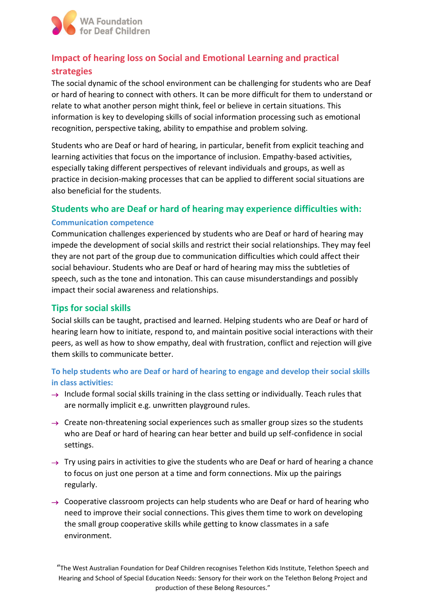

# **Impact of hearing loss on Social and Emotional Learning and practical strategies**

The social dynamic of the school environment can be challenging for students who are Deaf or hard of hearing to connect with others. It can be more difficult for them to understand or relate to what another person might think, feel or believe in certain situations. This information is key to developing skills of social information processing such as emotional recognition, perspective taking, ability to empathise and problem solving.

Students who are Deaf or hard of hearing, in particular, benefit from explicit teaching and learning activities that focus on the importance of inclusion. Empathy-based activities, especially taking different perspectives of relevant individuals and groups, as well as practice in decision-making processes that can be applied to different social situations are also beneficial for the students.

### **Students who are Deaf or hard of hearing may experience difficulties with:**

#### **Communication competence**

Communication challenges experienced by students who are Deaf or hard of hearing may impede the development of social skills and restrict their social relationships. They may feel they are not part of the group due to communication difficulties which could affect their social behaviour. Students who are Deaf or hard of hearing may miss the subtleties of speech, such as the tone and intonation. This can cause misunderstandings and possibly impact their social awareness and relationships.

## **Tips for social skills**

Social skills can be taught, practised and learned. Helping students who are Deaf or hard of hearing learn how to initiate, respond to, and maintain positive social interactions with their peers, as well as how to show empathy, deal with frustration, conflict and rejection will give them skills to communicate better.

## **To help students who are Deaf or hard of hearing to engage and develop their social skills in class activities:**

- $\rightarrow$  Include formal social skills training in the class setting or individually. Teach rules that are normally implicit e.g. unwritten playground rules.
- $\rightarrow$  Create non-threatening social experiences such as smaller group sizes so the students who are Deaf or hard of hearing can hear better and build up self-confidence in social settings.
- $\rightarrow$  Try using pairs in activities to give the students who are Deaf or hard of hearing a chance to focus on just one person at a time and form connections. Mix up the pairings regularly.
- $\rightarrow$  Cooperative classroom projects can help students who are Deaf or hard of hearing who need to improve their social connections. This gives them time to work on developing the small group cooperative skills while getting to know classmates in a safe environment.

<sup>&</sup>quot;The West Australian Foundation for Deaf Children recognises Telethon Kids Institute, Telethon Speech and Hearing and School of Special Education Needs: Sensory for their work on the Telethon Belong Project and production of these Belong Resources."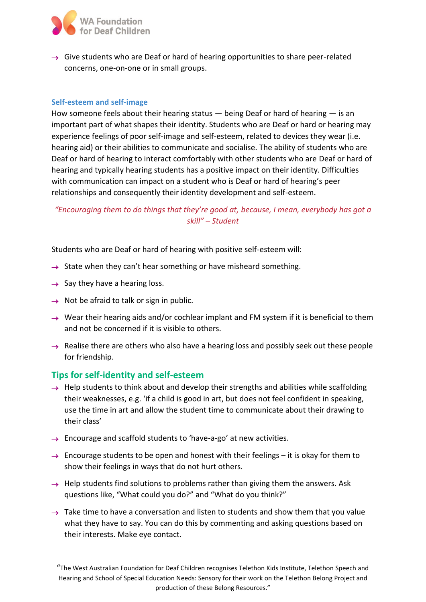

 $\rightarrow$  Give students who are Deaf or hard of hearing opportunities to share peer-related concerns, one-on-one or in small groups.

#### **Self-esteem and self-image**

How someone feels about their hearing status  $-$  being Deaf or hard of hearing  $-$  is an important part of what shapes their identity. Students who are Deaf or hard or hearing may experience feelings of poor self-image and self-esteem, related to devices they wear (i.e. hearing aid) or their abilities to communicate and socialise. The ability of students who are Deaf or hard of hearing to interact comfortably with other students who are Deaf or hard of hearing and typically hearing students has a positive impact on their identity. Difficulties with communication can impact on a student who is Deaf or hard of hearing's peer relationships and consequently their identity development and self-esteem.

*"Encouraging them to do things that they're good at, because, I mean, everybody has got a skill" – Student*

Students who are Deaf or hard of hearing with positive self-esteem will:

- $\rightarrow$  State when they can't hear something or have misheard something.
- $\rightarrow$  Say they have a hearing loss.
- $\rightarrow$  Not be afraid to talk or sign in public.
- $\rightarrow$  Wear their hearing aids and/or cochlear implant and FM system if it is beneficial to them and not be concerned if it is visible to others.
- $\rightarrow$  Realise there are others who also have a hearing loss and possibly seek out these people for friendship.

## **Tips for self-identity and self-esteem**

- $\rightarrow$  Help students to think about and develop their strengths and abilities while scaffolding their weaknesses, e.g. 'if a child is good in art, but does not feel confident in speaking, use the time in art and allow the student time to communicate about their drawing to their class'
- $\rightarrow$  Encourage and scaffold students to 'have-a-go' at new activities.
- $\rightarrow$  Encourage students to be open and honest with their feelings it is okay for them to show their feelings in ways that do not hurt others.
- $\rightarrow$  Help students find solutions to problems rather than giving them the answers. Ask questions like, "What could you do?" and "What do you think?"
- $\rightarrow$  Take time to have a conversation and listen to students and show them that you value what they have to say. You can do this by commenting and asking questions based on their interests. Make eye contact.

<sup>&</sup>quot;The West Australian Foundation for Deaf Children recognises Telethon Kids Institute, Telethon Speech and Hearing and School of Special Education Needs: Sensory for their work on the Telethon Belong Project and production of these Belong Resources."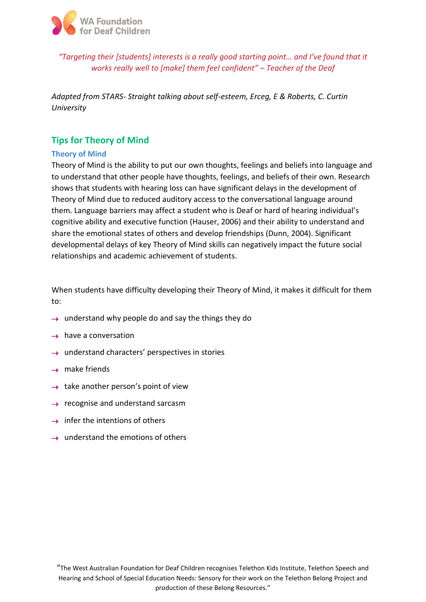

*"Targeting their [students] interests is a really good starting point… and I've found that it works really well to [make] them feel confident" – Teacher of the Deaf*

*Adapted from STARS- Straight talking about self-esteem, Erceg, E & Roberts, C. Curtin University*

## **Tips for Theory of Mind**

#### **Theory of Mind**

Theory of Mind is the ability to put our own thoughts, feelings and beliefs into language and to understand that other people have thoughts, feelings, and beliefs of their own. Research shows that students with hearing loss can have significant delays in the development of Theory of Mind due to reduced auditory access to the conversational language around them. Language barriers may affect a student who is Deaf or hard of hearing individual's cognitive ability and executive function (Hauser, 2006) and their ability to understand and share the emotional states of others and develop friendships (Dunn, 2004). Significant developmental delays of key Theory of Mind skills can negatively impact the future social relationships and academic achievement of students.

When students have difficulty developing their Theory of Mind, it makes it difficult for them to:

- $\rightarrow$  understand why people do and say the things they do
- $\rightarrow$  have a conversation
- $\rightarrow$  understand characters' perspectives in stories
- $\rightarrow$  make friends
- $\rightarrow$  take another person's point of view
- $\rightarrow$  recognise and understand sarcasm
- $\rightarrow$  infer the intentions of others
- $\rightarrow$  understand the emotions of others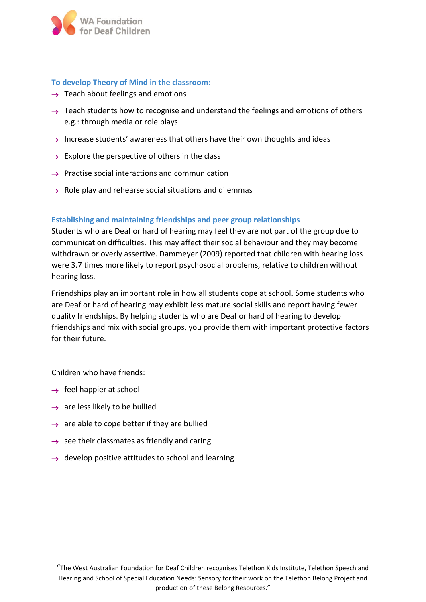

#### **To develop Theory of Mind in the classroom:**

- $\rightarrow$  Teach about feelings and emotions
- $\rightarrow$  Teach students how to recognise and understand the feelings and emotions of others e.g.: through media or role plays
- $\rightarrow$  Increase students' awareness that others have their own thoughts and ideas
- $\rightarrow$  Explore the perspective of others in the class
- $\rightarrow$  Practise social interactions and communication
- $\rightarrow$  Role play and rehearse social situations and dilemmas

#### **Establishing and maintaining friendships and peer group relationships**

Students who are Deaf or hard of hearing may feel they are not part of the group due to communication difficulties. This may affect their social behaviour and they may become withdrawn or overly assertive. Dammeyer (2009) reported that children with hearing loss were 3.7 times more likely to report psychosocial problems, relative to children without hearing loss.

Friendships play an important role in how all students cope at school. Some students who are Deaf or hard of hearing may exhibit less mature social skills and report having fewer quality friendships. By helping students who are Deaf or hard of hearing to develop friendships and mix with social groups, you provide them with important protective factors for their future.

Children who have friends:

- $\rightarrow$  feel happier at school
- $\rightarrow$  are less likely to be bullied
- $\rightarrow$  are able to cope better if they are bullied
- $\rightarrow$  see their classmates as friendly and caring
- $\rightarrow$  develop positive attitudes to school and learning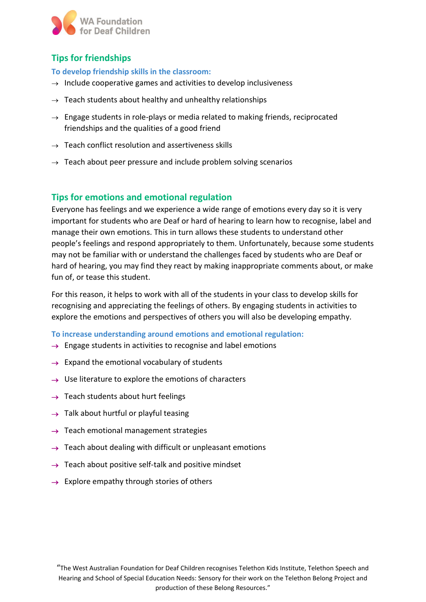

# **Tips for friendships**

#### **To develop friendship skills in the classroom:**

- $\rightarrow$  Include cooperative games and activities to develop inclusiveness
- $\rightarrow$  Teach students about healthy and unhealthy relationships
- $\rightarrow$  Engage students in role-plays or media related to making friends, reciprocated friendships and the qualities of a good friend
- $\rightarrow$  Teach conflict resolution and assertiveness skills
- $\rightarrow$  Teach about peer pressure and include problem solving scenarios

## **Tips for emotions and emotional regulation**

Everyone has feelings and we experience a wide range of emotions every day so it is very important for students who are Deaf or hard of hearing to learn how to recognise, label and manage their own emotions. This in turn allows these students to understand other people's feelings and respond appropriately to them. Unfortunately, because some students may not be familiar with or understand the challenges faced by students who are Deaf or hard of hearing, you may find they react by making inappropriate comments about, or make fun of, or tease this student.

For this reason, it helps to work with all of the students in your class to develop skills for recognising and appreciating the feelings of others. By engaging students in activities to explore the emotions and perspectives of others you will also be developing empathy.

**To increase understanding around emotions and emotional regulation:**

- $\rightarrow$  Engage students in activities to recognise and label emotions
- $\rightarrow$  Expand the emotional vocabulary of students
- $\rightarrow$  Use literature to explore the emotions of characters
- $\rightarrow$  Teach students about hurt feelings
- $\rightarrow$  Talk about hurtful or playful teasing
- $\rightarrow$  Teach emotional management strategies
- $\rightarrow$  Teach about dealing with difficult or unpleasant emotions
- $\rightarrow$  Teach about positive self-talk and positive mindset
- $\rightarrow$  Explore empathy through stories of others